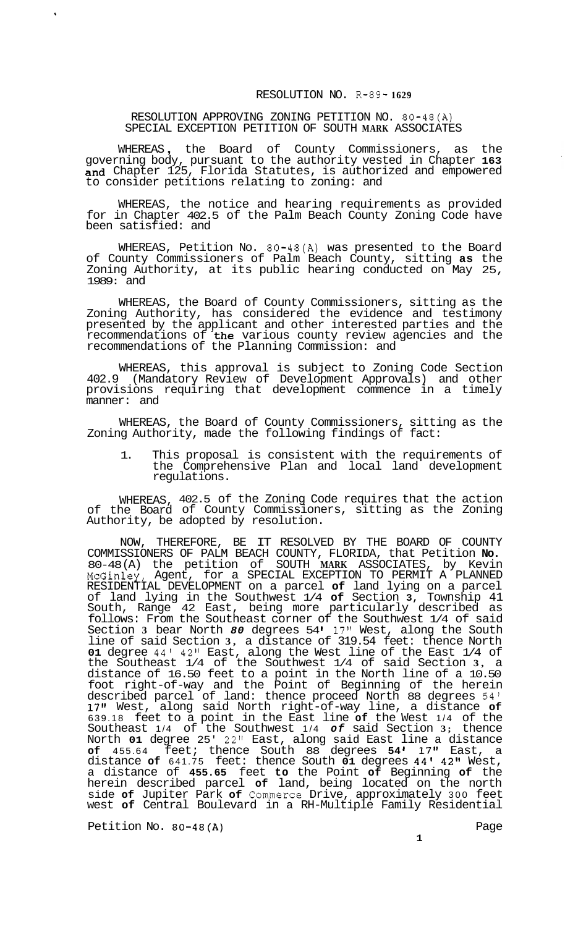## RESOLUTION NO. R-89- **1629**

## RESOLUTION APPROVING ZONING PETITION NO. 80-48(A) SPECIAL EXCEPTION PETITION OF SOUTH **MARK** ASSOCIATES

 $\ddot{\phantom{1}}$ 

WHEREAS , the Board of County Commissioners, as the governing body, pursuant to the authority vested in Chapter **163**  and Chapter 125, Florida Statutes, is authorized and empowered to consider petitions relating to zoning: and

WHEREAS, the notice and hearing requirements as provided for in Chapter 402.5 of the Palm Beach County Zoning Code have been satisfied: and

WHEREAS, Petition No. 80-48(A) was presented to the Board of County Commissioners of Palm Beach County, sitting **as** the Zoning Authority, at its public hearing conducted on May 25, 1989: and

WHEREAS, the Board of County Commissioners, sitting as the Zoning Authority, has considered the evidence and testimony presented by the applicant and other interested parties and the recommendations of the various county review agencies and the recommendations of the Planning Commission: and

WHEREAS, this approval is subject to Zoning Code Section 402.9 (Mandatory Review of Development Approvals) and other provisions requiring that development commence in a timely manner: and

WHEREAS, the Board of County Commissioners, sitting as the Zoning Authority, made the following findings of fact:

1. This proposal is consistent with the requirements of the Comprehensive Plan and local land development regulations.

WHEREAS, 402.5 of the Zoning Code requires that the action of the Board of County Commissioners, sitting as the Zoning Authority, be adopted by resolution.

NOW, THEREFORE, BE IT RESOLVED BY THE BOARD OF COUNTY COMMISSIONERS OF PALM BEACH COUNTY, FLORIDA, that Petition **No.**  80-48 (A) the petition of SOUTH **MARK** ASSOCIATES, by Kevin McGinley, Agent, for a SPECIAL EXCEPTION TO PERMIT A PLANNED RESIDENTIAL DEVELOPMENT on a parcel **of** land lying on a parcel of land lying in the Southwest 1/4 **of** Section **3,** Township 41 South, Range 42 East, being more particularly described as follows: From the Southeast corner of the Southwest 1/4 of said Section **3** bear North *80* degrees 54 **17"** West, along the South line of said Section **3,** a distance of 319.54 feet: thence North **01** degree 44l 42" East, along the West line of the East 1/4 of the Southeast 1/4 of the Southwest 1/4 of said Section **3,** a distance of 16.50 feet to a point in the North line of a 10.50 foot right-of-way and the Point of Beginning of the herein described parcel of land: thence proceed North 88 degrees 54' 17" West, along said North right-of-way line, a distance **of**  639.18 feet to a point in the East line **of** the West 1/4 of the Southeast 1/4 of the Southwest 1/4 *of* said Section **3;** thence North **01** degree 25' 22" East, along said East line a distance **of** 455.64 feet; thence South 88 degrees **54** \* 17" East, a distance **of** 641.75 feet: thence South **01** degrees 44' 42" West, a distance of **455.65** feet **to** the Point **of** Beginning **of** the herein described parcel **of** land, being located on the north side **of** Jupiter Park **of** Commerce Drive, approximately 300 feet west **of** Central Boulevard in a RH-Multiple Family Residential

Petition No. 80-48(A) Petition No. 80-48(A)

 $\frac{1}{\sqrt{2}}$ 

**1**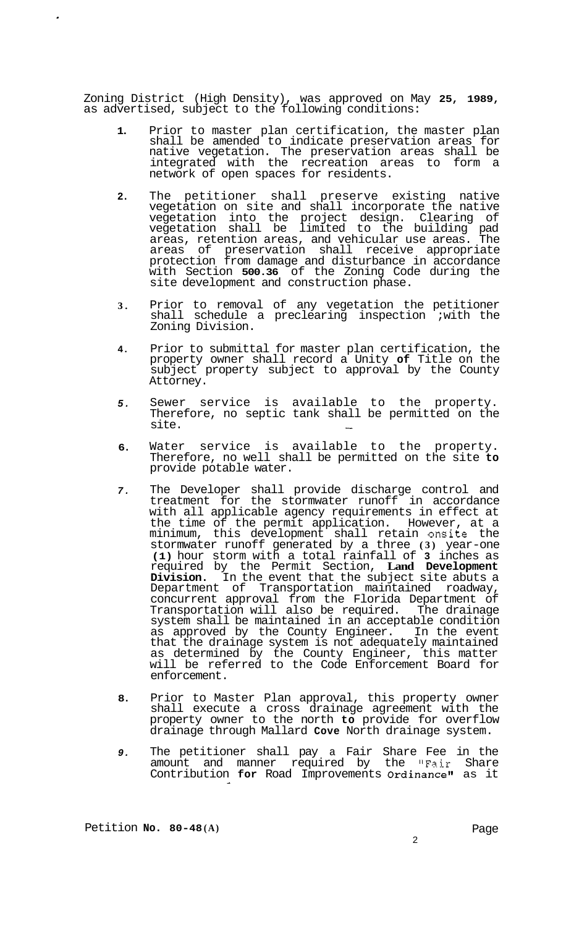Zoning District (High Density), was approved on May **25, 1989,**  as advertised, subject to the following conditions:

- **1.**  Prior to master plan certification, the master plan shall be amended to indicate preservation areas for native vegetation. The preservation areas shall be integrated with the recreation areas to form a network of open spaces for residents.
- **2.**  The petitioner shall preserve existing native vegetation on site and shall incorporate the native vegetation into the project design. Clearing of vegetation shall be limited to the building pad areas, retention areas, and vehicular use areas. The areas of preservation shall receive appropriate protection from damage and disturbance in accordance with Section **500.36** of the Zoning Code during the site development and construction phase.
- **3.**  Prior to removal of any vegetation the petitioner shall schedule a preclearing inspection ; with the Zoning Division.
- **4.**  Prior to submittal for master plan certification, the property owner shall record a Unity **of** Title on the subject property subject to approval by the County Attorney.
- *5.*  Sewer service is available to the property. Therefore, no septic tank shall be permitted on the site.
- **6.**  Water service is available to the property. Therefore, no well shall be permitted on the site **to**  provide potable water.
- *7.*  The Developer shall provide discharge control and treatment for the stormwater runoff in accordance with all applicable agency requirements in effect at the time of the permit application. However, at a minimum, this development shall retain onsite the stormwater runoff generated by a three **(3)** year-one **(1)** hour storm with a total rainfall of **3** inches as required by the Permit Section, **Land Development Division.** In the event that the subject site abuts a Department of Transportation maintained roadway, concurrent approval from the Florida Department of Transportation will also be required. The drainage system shall be maintained in an acceptable condition as approved by the County Engineer. In the event that the drainage system is not adequately maintained as determined by the County Engineer, this matter will be referred to the Code Enforcement Board for enforcement.
- **8.**  Prior to Master Plan approval, this property owner shall execute a cross drainage agreement with the property owner to the north **to** provide for overflow drainage through Mallard **Cove** North drainage system.
- *9.*  The petitioner shall pay a Fair Share Fee in the amount and manner required by the "Fair Share Contribution **for** Road Improvements Ordinance" as it

Petition **No. 80-48 (A)** 

 $\mathcal{L}$